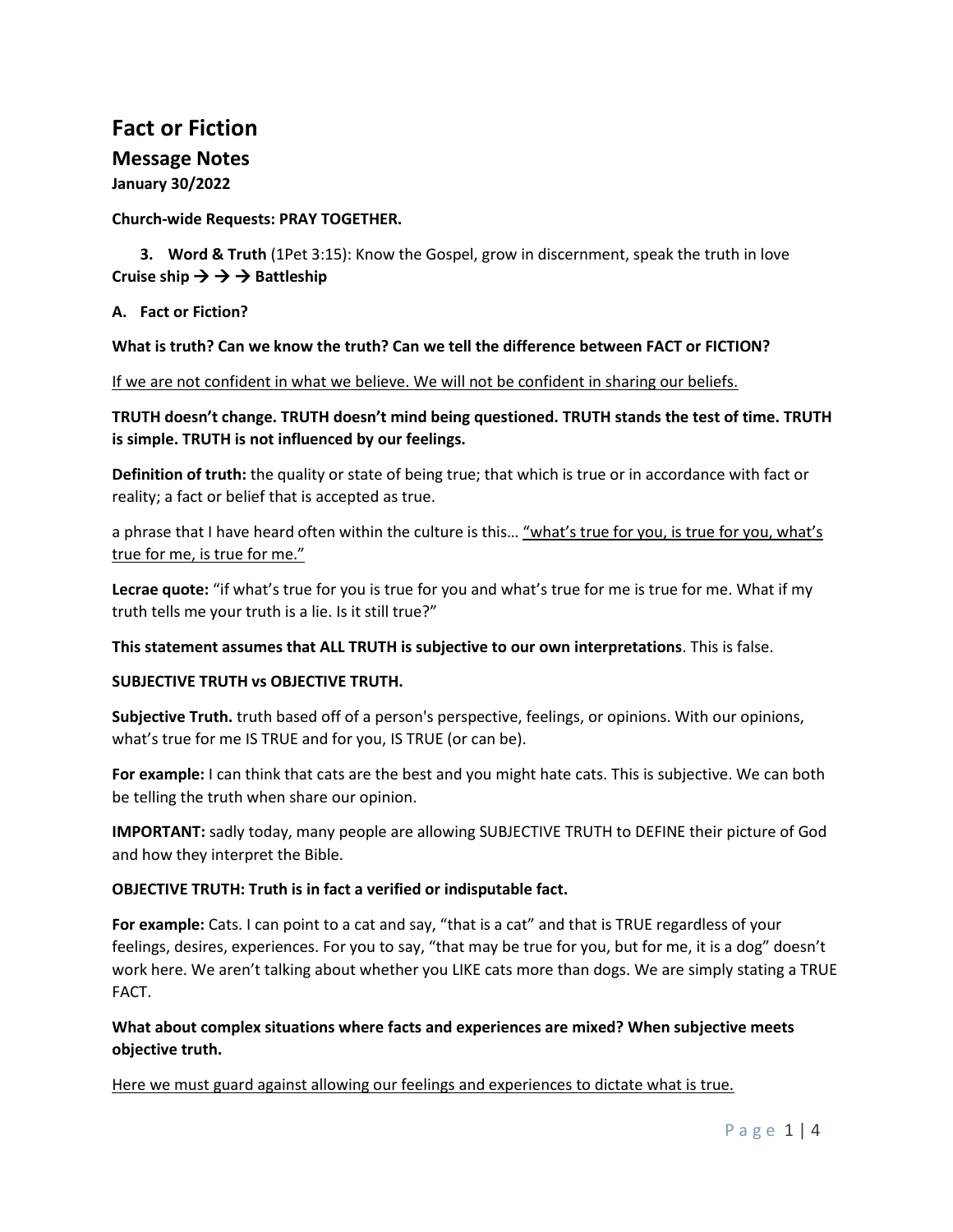## **Fact or Fiction**

# **Message Notes**

**January 30/2022**

## **Church-wide Requests: PRAY TOGETHER.**

**3. Word & Truth** (1Pet 3:15): Know the Gospel, grow in discernment, speak the truth in love Cruise ship  $\rightarrow \rightarrow \rightarrow$  Battleship

**A. Fact or Fiction?**

## **What is truth? Can we know the truth? Can we tell the difference between FACT or FICTION?**

If we are not confident in what we believe. We will not be confident in sharing our beliefs.

**TRUTH doesn't change. TRUTH doesn't mind being questioned. TRUTH stands the test of time. TRUTH is simple. TRUTH is not influenced by our feelings.** 

**Definition of truth:** the quality or state of being true; that which is true or in accordance with fact or reality; a fact or belief that is accepted as true.

a phrase that I have heard often within the culture is this... "what's true for you, is true for you, what's true for me, is true for me."

**Lecrae quote:** "if what's true for you is true for you and what's true for me is true for me. What if my truth tells me your truth is a lie. Is it still true?"

**This statement assumes that ALL TRUTH is subjective to our own interpretations**. This is false.

## **SUBJECTIVE TRUTH vs OBJECTIVE TRUTH.**

**Subjective Truth.** truth based off of a person's perspective, feelings, or opinions. With our opinions, what's true for me IS TRUE and for you, IS TRUE (or can be).

**For example:** I can think that cats are the best and you might hate cats. This is subjective. We can both be telling the truth when share our opinion.

**IMPORTANT:** sadly today, many people are allowing SUBJECTIVE TRUTH to DEFINE their picture of God and how they interpret the Bible.

## **OBJECTIVE TRUTH: Truth is in fact a verified or indisputable fact.**

**For example:** Cats. I can point to a cat and say, "that is a cat" and that is TRUE regardless of your feelings, desires, experiences. For you to say, "that may be true for you, but for me, it is a dog" doesn't work here. We aren't talking about whether you LIKE cats more than dogs. We are simply stating a TRUE FACT.

## **What about complex situations where facts and experiences are mixed? When subjective meets objective truth.**

Here we must guard against allowing our feelings and experiences to dictate what is true.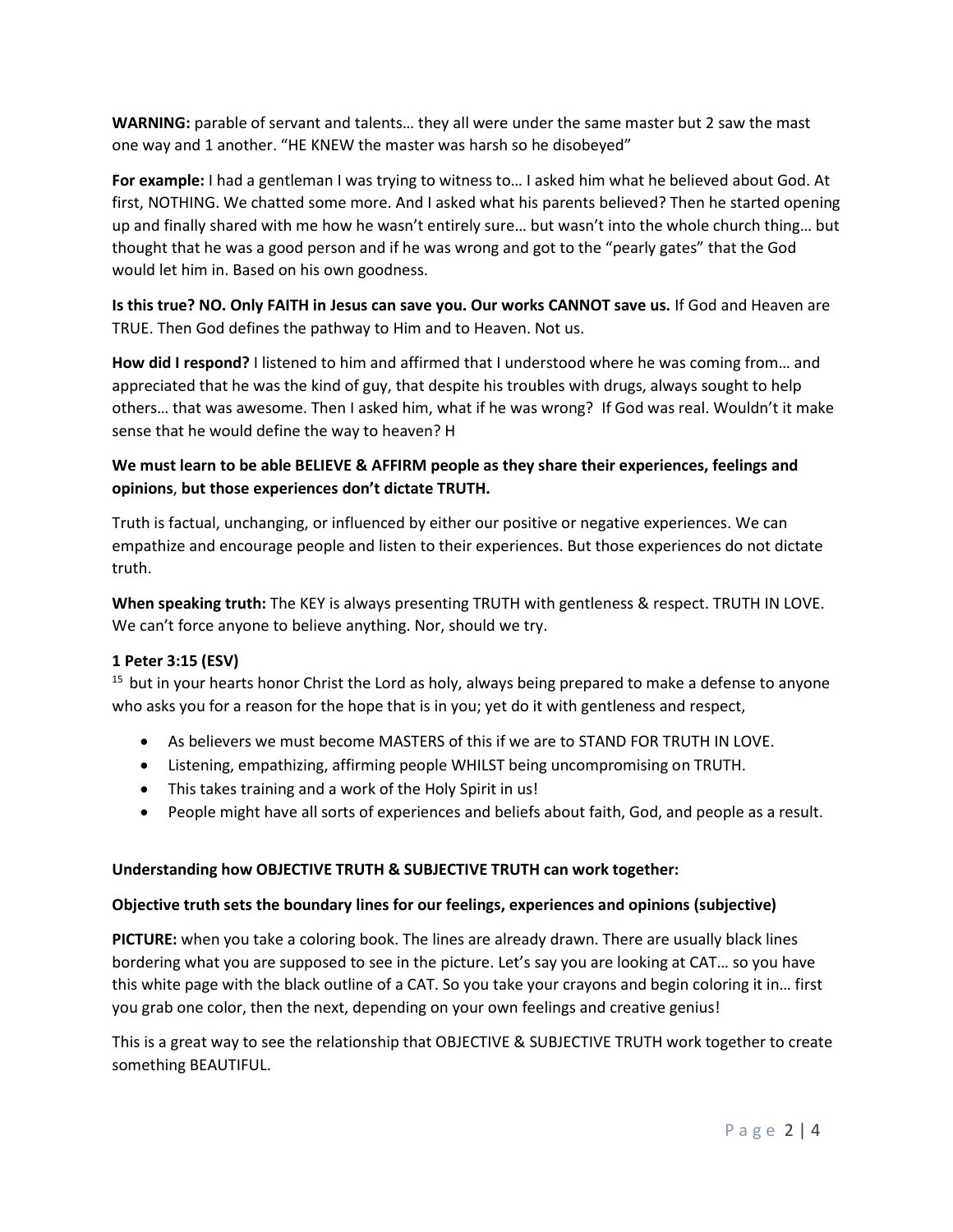**WARNING:** parable of servant and talents… they all were under the same master but 2 saw the mast one way and 1 another. "HE KNEW the master was harsh so he disobeyed"

**For example:** I had a gentleman I was trying to witness to… I asked him what he believed about God. At first, NOTHING. We chatted some more. And I asked what his parents believed? Then he started opening up and finally shared with me how he wasn't entirely sure… but wasn't into the whole church thing… but thought that he was a good person and if he was wrong and got to the "pearly gates" that the God would let him in. Based on his own goodness.

**Is this true? NO. Only FAITH in Jesus can save you. Our works CANNOT save us.** If God and Heaven are TRUE. Then God defines the pathway to Him and to Heaven. Not us.

**How did I respond?** I listened to him and affirmed that I understood where he was coming from… and appreciated that he was the kind of guy, that despite his troubles with drugs, always sought to help others… that was awesome. Then I asked him, what if he was wrong? If God was real. Wouldn't it make sense that he would define the way to heaven? H

## **We must learn to be able BELIEVE & AFFIRM people as they share their experiences, feelings and opinions**, **but those experiences don't dictate TRUTH.**

Truth is factual, unchanging, or influenced by either our positive or negative experiences. We can empathize and encourage people and listen to their experiences. But those experiences do not dictate truth.

**When speaking truth:** The KEY is always presenting TRUTH with gentleness & respect. TRUTH IN LOVE. We can't force anyone to believe anything. Nor, should we try.

## **1 Peter 3:15 (ESV)**

 $15$  but in your hearts honor Christ the Lord as holy, always being prepared to make a defense to anyone who asks you for a reason for the hope that is in you; yet do it with gentleness and respect,

- As believers we must become MASTERS of this if we are to STAND FOR TRUTH IN LOVE.
- Listening, empathizing, affirming people WHILST being uncompromising on TRUTH.
- This takes training and a work of the Holy Spirit in us!
- People might have all sorts of experiences and beliefs about faith, God, and people as a result.

#### **Understanding how OBJECTIVE TRUTH & SUBJECTIVE TRUTH can work together:**

#### **Objective truth sets the boundary lines for our feelings, experiences and opinions (subjective)**

**PICTURE:** when you take a coloring book. The lines are already drawn. There are usually black lines bordering what you are supposed to see in the picture. Let's say you are looking at CAT… so you have this white page with the black outline of a CAT. So you take your crayons and begin coloring it in… first you grab one color, then the next, depending on your own feelings and creative genius!

This is a great way to see the relationship that OBJECTIVE & SUBJECTIVE TRUTH work together to create something BEAUTIFUL.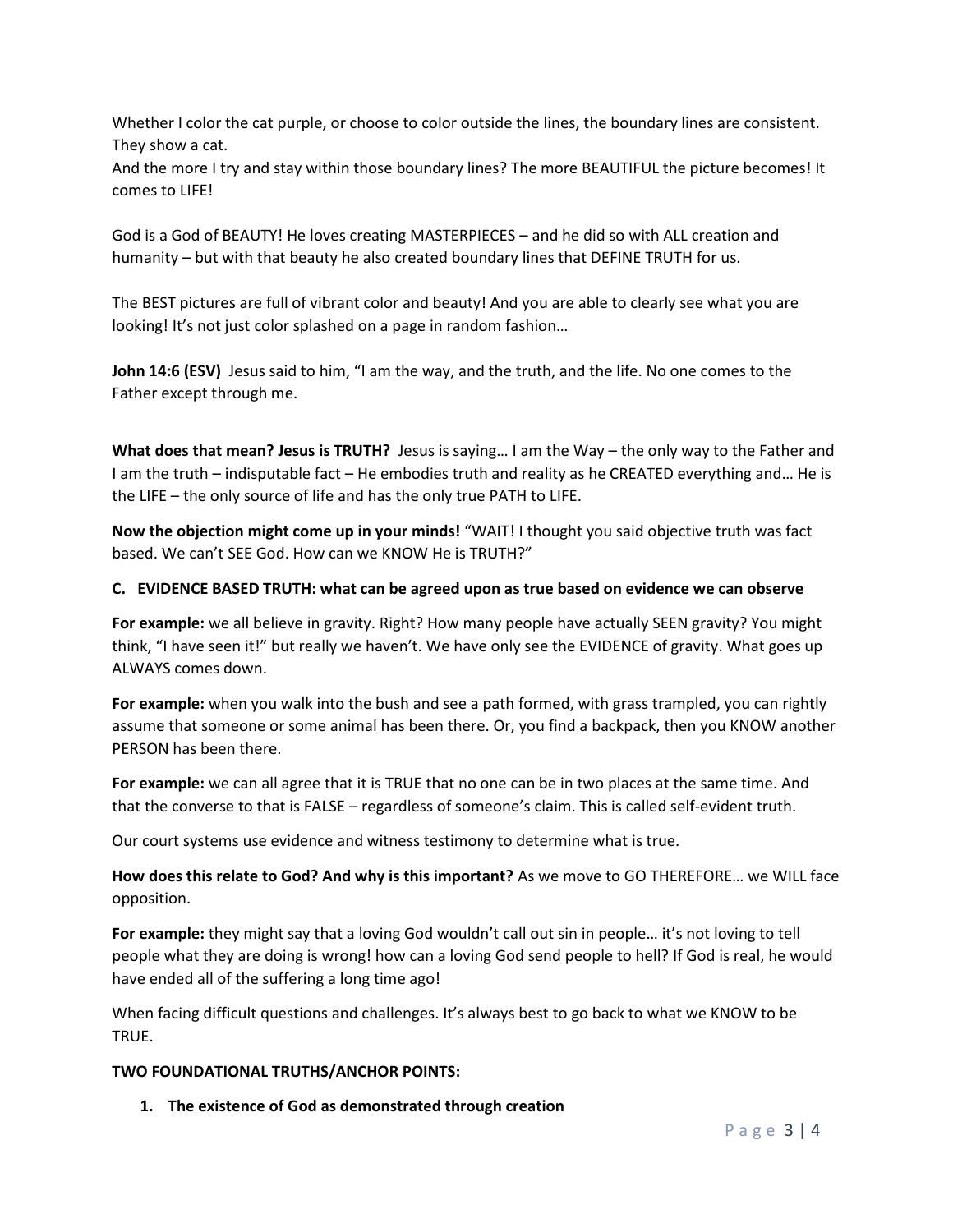Whether I color the cat purple, or choose to color outside the lines, the boundary lines are consistent. They show a cat.

And the more I try and stay within those boundary lines? The more BEAUTIFUL the picture becomes! It comes to LIFE!

God is a God of BEAUTY! He loves creating MASTERPIECES – and he did so with ALL creation and humanity – but with that beauty he also created boundary lines that DEFINE TRUTH for us.

The BEST pictures are full of vibrant color and beauty! And you are able to clearly see what you are looking! It's not just color splashed on a page in random fashion…

**John 14:6 (ESV)** Jesus said to him, "I am the way, and the truth, and the life. No one comes to the Father except through me.

**What does that mean? Jesus is TRUTH?** Jesus is saying… I am the Way – the only way to the Father and I am the truth – indisputable fact – He embodies truth and reality as he CREATED everything and… He is the LIFE – the only source of life and has the only true PATH to LIFE.

**Now the objection might come up in your minds!** "WAIT! I thought you said objective truth was fact based. We can't SEE God. How can we KNOW He is TRUTH?"

### **C. EVIDENCE BASED TRUTH: what can be agreed upon as true based on evidence we can observe**

**For example:** we all believe in gravity. Right? How many people have actually SEEN gravity? You might think, "I have seen it!" but really we haven't. We have only see the EVIDENCE of gravity. What goes up ALWAYS comes down.

**For example:** when you walk into the bush and see a path formed, with grass trampled, you can rightly assume that someone or some animal has been there. Or, you find a backpack, then you KNOW another PERSON has been there.

**For example:** we can all agree that it is TRUE that no one can be in two places at the same time. And that the converse to that is FALSE – regardless of someone's claim. This is called self-evident truth.

Our court systems use evidence and witness testimony to determine what is true.

**How does this relate to God? And why is this important?** As we move to GO THEREFORE… we WILL face opposition.

**For example:** they might say that a loving God wouldn't call out sin in people… it's not loving to tell people what they are doing is wrong! how can a loving God send people to hell? If God is real, he would have ended all of the suffering a long time ago!

When facing difficult questions and challenges. It's always best to go back to what we KNOW to be TRUE.

#### **TWO FOUNDATIONAL TRUTHS/ANCHOR POINTS:**

**1. The existence of God as demonstrated through creation**